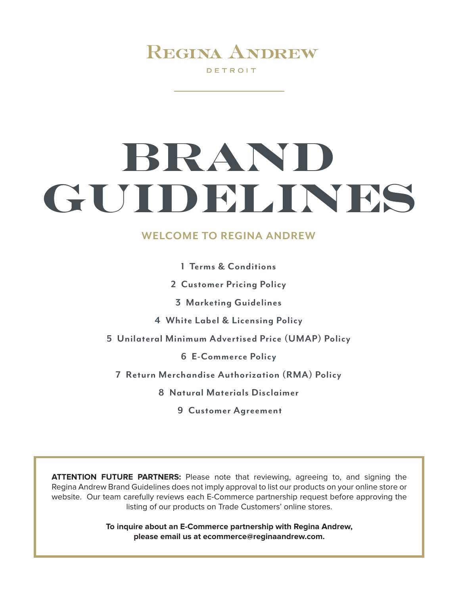DETROIT

**BRAND AND STREET WAS SERVED AND STREET WAS SERVED AND STREET WAS SERVED AND STREET WAS SERVED AND STREET WAS S** 

# **BRAND GUIDELINES WELCOME TO REGINA ANDREW GUIDELINES GUIDELINES BRAND**

## **WELCOME TO REGINA ANDREW WELCOME TO REGINA ANDREW**

- **1 Terms & Conditions**
- **2 Customer Pricing Policy**
- **The Brand Guidelines document includes: 3 Marketing Guidelines**
	- **4 White Label & Licensing Policy**
- **•1•Terms & Conditions 5 Unilateral Minimum Advertised Price (UMAP) Policy**
	- **•2• Customer Pricing Policy 6 E-Commerce Policy**
	- **•3• Marketing Guidelines 7 Return Merchandise Authorization (RMA) Policy 8 Natural Materials Disclaimer**
		- **8** Natural Materials Disclaimer
			- **•9• Customer Agreement 9 Customer Agreement**

ATTENTION FUTURE PARTNERS: Please note that reviewing, agreeing to, and signing the Regina Andrew Brand Guidelines does not imply approval to list our products on your online store or Regina Andrew Brand Guidelines does not imply approval to list our products on your online store or website. Our team carefully reviews each E-Commerce partnership request before approving the website. Our team carefully reviews each E-Commerce partnership request before approving the listing of our products on Trade Customers' online stores. listing of our products on Trade Customers' online stores.

**•8• Natural Materials Disclaimer**

**We look forward to working with you. please email us at ecommerce@reginaandrew.com. please email us at ecommerce@reginaandrew.com. To inquire about an E-Commerce partnership with Regina Andrew, To inquire about an E-Commerce partnership with Regina Andrew,**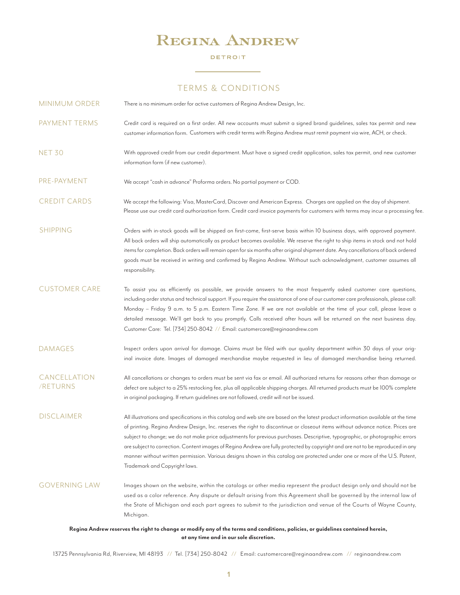### DETROIT

## TERMS & CONDITIONS TERMS & CONDITIONS

| <b>MINIMUM ORDER</b>            | There is no minimum order for active customers of Regina Andrew Design, Inc.                                                                                                                                                                                                                                                                                                                                                                                                                                                                                                                                                                                                                              |
|---------------------------------|-----------------------------------------------------------------------------------------------------------------------------------------------------------------------------------------------------------------------------------------------------------------------------------------------------------------------------------------------------------------------------------------------------------------------------------------------------------------------------------------------------------------------------------------------------------------------------------------------------------------------------------------------------------------------------------------------------------|
| PAYMENT TERMS                   | Credit card is required on a first order. All new accounts must submit a signed brand quidelines, sales tax permit and new<br>customer information form. Customers with credit terms with Regina Andrew must remit payment via wire, ACH, or check.                                                                                                                                                                                                                                                                                                                                                                                                                                                       |
| <b>NET 30</b>                   | With approved credit from our credit department. Must have a signed credit application, sales tax permit, and new customer<br>information form (if new customer).                                                                                                                                                                                                                                                                                                                                                                                                                                                                                                                                         |
| PRE-PAYMENT                     | We accept "cash in advance" Proforma orders. No partial payment or COD.                                                                                                                                                                                                                                                                                                                                                                                                                                                                                                                                                                                                                                   |
| <b>CREDIT CARDS</b>             | We accept the following: Visa, MasterCard, Discover and American Express. Charges are applied on the day of shipment.<br>Please use our credit card authorization form. Credit card invoice payments for customers with terms may incur a processing fee.                                                                                                                                                                                                                                                                                                                                                                                                                                                 |
| <b>SHIPPING</b>                 | Orders with in-stock goods will be shipped on first-come, first-serve basis within 10 business days, with approved payment.<br>All back orders will ship automatically as product becomes available. We reserve the right to ship items in stock and not hold<br>items for completion. Back orders will remain open for six months after original shipment date. Any cancellations of back ordered<br>goods must be received in writing and confirmed by Regina Andrew. Without such acknowledgment, customer assumes all<br>responsibility.                                                                                                                                                              |
| <b>CUSTOMER CARE</b>            | To assist you as efficiently as possible, we provide answers to the most frequently asked customer care questions,<br>including order status and technical support. If you require the assistance of one of our customer care professionals, please call:<br>Monday - Friday 9 a.m. to 5 p.m. Eastern Time Zone. If we are not available at the time of your call, please leave a<br>detailed message. We'll get back to you promptly. Calls received after hours will be returned on the next business day.<br>Customer Care: Tel. [734] 250-8042 // Email: customercare@reginaandrew.com                                                                                                                |
| <b>DAMAGES</b>                  | Inspect orders upon arrival for damage. Claims must be filed with our quality department within 30 days of your orig-<br>inal invoice date. Images of damaged merchandise maybe requested in lieu of damaged merchandise being returned.                                                                                                                                                                                                                                                                                                                                                                                                                                                                  |
| <b>CANCELLATION</b><br>/RETURNS | All cancellations or changes to orders must be sent via fax or email. All authorized returns for reasons other than damage or<br>defect are subject to a 25% restocking fee, plus all applicable shipping charges. All returned products must be 100% complete<br>in original packaging. If return guidelines are not followed, credit will not be issued.                                                                                                                                                                                                                                                                                                                                                |
| <b>DISCLAIMER</b>               | All illustrations and specifications in this catalog and web site are based on the latest product information available at the time<br>of printing. Regina Andrew Design, Inc. reserves the right to discontinue or closeout items without advance notice. Prices are<br>subject to change; we do not make price adjustments for previous purchases. Descriptive, typographic, or photographic errors<br>are subject to correction. Content images of Regina Andrew are fully protected by copyright and are not to be reproduced in any<br>manner without written permission. Various designs shown in this catalog are protected under one or more of the U.S. Patent,<br>Trademark and Copyright laws. |
| <b>GOVERNING LAW</b>            | Images shown on the website, within the catalogs or other media represent the product design only and should not be<br>used as a color reference. Any dispute or default arising from this Agreement shall be governed by the internal law of<br>the State of Michigan and each part agrees to submit to the jurisdiction and venue of the Courts of Wayne County,<br>Michigan.                                                                                                                                                                                                                                                                                                                           |

### Regina Andrew reserves the right to change or modify any of the terms and conditions, policies, or guidelines contained herein, **at any time and in our sole discretion. at any time and in our sole discretion.**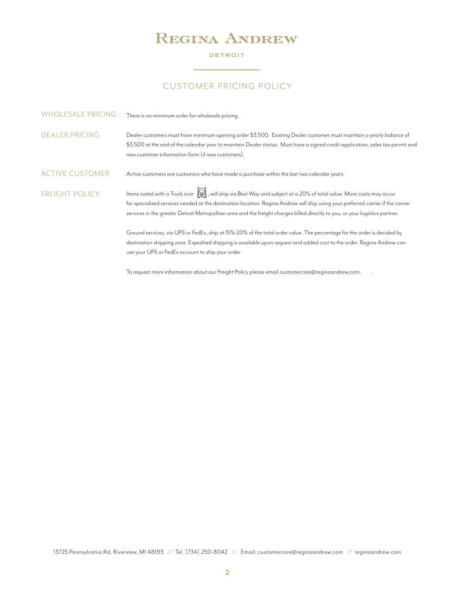### DETROIT

## CUSTOMER PRICING POLICY CUSTOMER PRICING POLICY

| <b>WHOLESALE PRICING</b> | There is no minimum order for wholesale pricing.                                                                                                                                                                                                                                                                                                                                                             |
|--------------------------|--------------------------------------------------------------------------------------------------------------------------------------------------------------------------------------------------------------------------------------------------------------------------------------------------------------------------------------------------------------------------------------------------------------|
| <b>DEALER PRICING</b>    | Dealer customers must have minimum opening order \$3,500. Existing Dealer customer must maintain a yearly balance of<br>\$3,500 at the end of the calendar year to maintain Dealer status. Must have a signed credit application, sales tax permit and<br>new customer information form (if new customers).                                                                                                  |
| <b>ACTIVE CUSTOMER</b>   | Active customers are customers who have made a purchase within the last two calendar years.                                                                                                                                                                                                                                                                                                                  |
| <b>FREIGHT POLICY</b>    | Items noted with a Truck icon $\overline{\mathbb{H}}$ ; will ship via Best Way and subject at a 20% of total value. More costs may occur<br>for specialized services needed at the destination location. Regina Andrew will ship using your preferred carrier if the carrier<br>services in the greater Detroit Metropolitan area and the freight charges billed directly to you, or your logistics partner. |
|                          | Ground services, via UPS or FedEx, ship at 15%-20% of the total order value. The percentage for the order is decided by<br>destination shipping zone. Expedited shipping is available upon request and added cost to the order. Regina Andrew can<br>use your UPS or FedEx account to ship your order.                                                                                                       |
|                          | To request more information about our Freight Policy please email customercare@reginaandrew.com.                                                                                                                                                                                                                                                                                                             |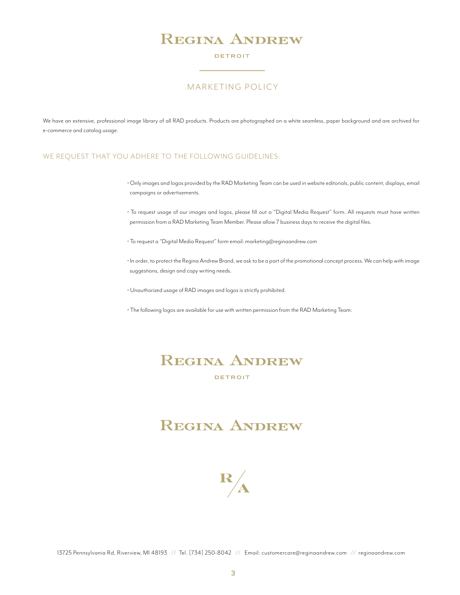### DETROIT

## MARKETING POLICY

We have an extensive, professional image library of all RAD products. Products are photographed on a white seamless, paper background and are archived for e-commerce and catalog usage.

### WE REQUEST THAT YOU ADHERE TO THE FOLLOWING GUIDELINES:

- Only images and logos provided by the RAD Marketing Team can be used in website editorials, public content, displays, email campaigns or advertisements.
- To request usage of our images and logos, please fill out a "Digital Media Request" form. All requests must have written permission from a RAD Marketing Team Member. Please allow 7 business days to receive the digital files.
- To request a "Digital Media Request" form email: marketing@reginaandrew.com
- In order, to protect the Regina Andrew Brand, we ask to be a part of the promotional concept process. We can help with image suggestions, design and copy writing needs.
- Unauthorized usage of RAD images and logos is strictly prohibited.
- The following logos are available for use with written permission from the RAD Marketing Team:

## **REGINA ANDREW** DETROIT

## **REGINA ANDREW**

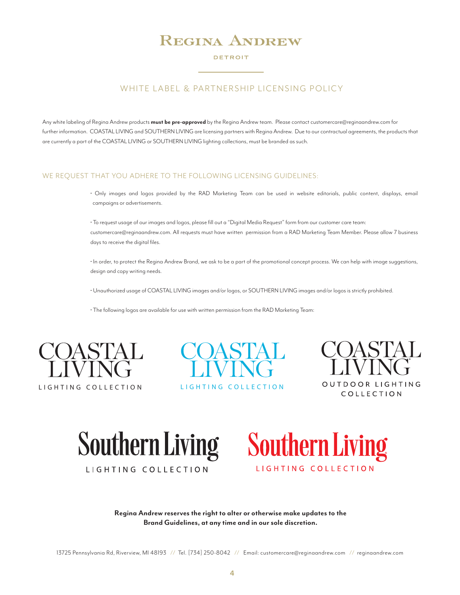#### DETROIT

## WHITE LABEL & PARTNERSHIP LICENSING POLICY

Any white labeling of Regina Andrew products **must be pre-approved** by the Regina Andrew team. Please contact customercare@reginaandrew.com for further information. COASTAL LIVING and SOUTHERN LIVING are licensing partners with Regina Andrew. Due to our contractual agreements, the products that<br>are currently a part of the COASTAL LIVING or SOUTHERN LIVING lighti are currently a part of the COASTAL LIVING or SOUTHERN LIVING lighting collections, must be branded as such.

### WE REQUEST THAT YOU ADHERE TO THE FOLLOWING LICENSING GUIDELINES:

 $\cdot$  Only images and logos provided by the RAD Marketing Team can be used in website editorials, public content, displays, email campaigns or advertisements.

> • To request usage of our images and logos, please fill out a "Digital Media Request" form from our customer care team: customercare@reginaandrew.com. All requests must have written permission from a RAD Marketing Team Member. Please allow 7 business days to receive the digital files.

• In order, to protect the Regina Andrew Brand, we ask to be a part of the promotional concept process. We can help with image suggestions, LIGHTING C O L LEC TION design and copy writing needs.

• Unauthorized usage of COASTAL LIVING images and/or logos, or SOUTHERN LIVING images and/or logos is strictly prohibited.

• The following logos are available for use with written permission from the RAD Marketing Team: .OASTAL<br>|<br>|vailable









LIGHTING COLLECTION

LIGHTING COLLECTION

wa<br>Mare wa

Regina Andrew reserves the right to alter or otherwise make updates to the **Region of the set of the Brand Guidelines, at any time and in our sole discretion.**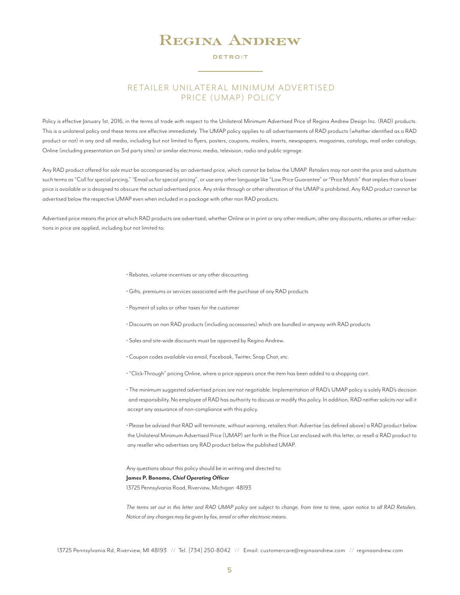#### DETROIT

## RETAILER UNILATERAL MINIMUM ADVERTISED PRICE (UMAP) POLICY

Policy is effective January 1st, 2016, in the terms of trade with respect to the Unilateral Minimum Advertised Price of Regina Andrew Design Inc. (RAD) products. This is a unilateral policy and these terms are effective immediately. The UMAP policy applies to all advertisements of RAD products (whether identified as a RAD product or not) in any and all media, including but not limited to flyers, posters, coupons, mailers, inserts, newspapers, magazines, catalogs, mail order catalogs, Online (including presentation on 3rd party sites) or similar electronic media, television, radio and public signage.

Any RAD product offered for sale must be accompanied by an advertised price, which cannot be below the UMAP. Retailers may not omit the price and substitute such terms as "Call for special pricing," "Email us for special pricing", or use any other language like "Low Price Guarantee" or "Price Match" that implies that a lower price is available or is designed to obscure the actual advertised price. Any strike through or other alteration of the UMAP is prohibited. Any RAD product cannot be advertised below the respective UMAP even when included in a package with other non RAD products.

Advertised price means the price at which RAD products are advertised, whether Online or in print or any other medium, after any discounts, rebates or other reductions in price are applied, including but not limited to:

- Rebates, volume incentives or any other discounting
- Gifts, premiums or services associated with the purchase of any RAD products
- Payment of sales or other taxes for the customer
- Discounts on non RAD products (including accessories) which are bundled in anyway with RAD products
- Sales and site-wide discounts must be approved by Regina Andrew.
- Coupon codes available via email, Facebook, Twitter, Snap Chat, etc.
- "Click-Through" pricing Online, where a price appears once the item has been added to a shopping cart.

• The minimum suggested advertised prices are not negotiable. Implementation of RAD's UMAP policy is solely RAD's decision and responsibility. No employee of RAD has authority to discuss or modify this policy. In addition, RAD neither solicits nor will it accept any assurance of non-compliance with this policy.

• Please be advised that RAD will terminate, without warning, retailers that: Advertise (as defined above) a RAD product below the Unilateral Minimum Advertised Price (UMAP) set forth in the Price List enclosed with this letter, or resell a RAD product to any reseller who advertises any RAD product below the published UMAP.

Any questions about this policy should be in writing and directed to:

#### **James P. Bonomo,** *Chief Operating Officer*

13725 Pennsylvania Road, Riverview, Michigan 48193

*The terms set out in this letter and RAD UMAP policy are subject to change, from time to time, upon notice to all RAD Retailers. Notice of any changes may be given by fax, email or other electronic means.*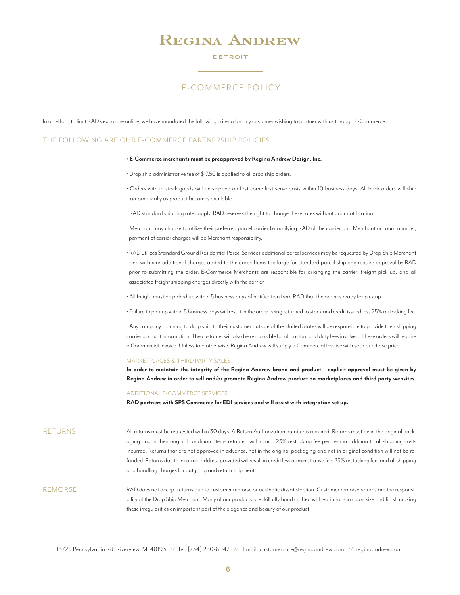#### DETROIT

## E-COMMERCE POLICY

In an effort, to limit RAD's exposure online, we have mandated the following criteria for any customer wishing to partner with us through E-Commerce.

### THE FOLLOWING ARE OUR E-COMMERCE PARTNERSHIP POLICIES:

#### **• E-Commerce merchants must be preapproved by Regina Andrew Design, Inc.**

- Drop ship administrative fee of \$17.50 is applied to all drop ship orders.
- Orders with in-stock goods will be shipped on first come first serve basis within 10 business days. All back orders will ship automatically as product becomes available.
- RAD standard shipping rates apply. RAD reserves the right to change these rates without prior notification.
- Merchant may choose to utilize their preferred parcel carrier by notifying RAD of the carrier and Merchant account number, payment of carrier charges will be Merchant responsibility.
- RAD utilizes Standard Ground Residential Parcel Services additional parcel services may be requested by Drop Ship Merchant and will incur additional charges added to the order. Items too large for standard parcel shipping require approval by RAD prior to submitting the order. E-Commerce Merchants are responsible for arranging the carrier, freight pick up, and all associated freight shipping charges directly with the carrier.
- All freight must be picked up within 5 business days of notification from RAD that the order is ready for pick up.
- Failure to pick up within 5 business days will result in the order being returned to stock and credit issued less 25% restocking fee.

• Any company planning to drop ship to their customer outside of the United States will be responsible to provide their shipping carrier account information. The customer will also be responsible for all custom and duty fees involved. These orders will require a Commercial Invoice. Unless told otherwise, Regina Andrew will supply a Commercial Invoice with your purchase price.

#### MARKETPLACES & THIRD PARTY SALES

**In order to maintain the integrity of the Regina Andrew brand and product – explicit approval must be given by Regina Andrew in order to sell and/or promote Regina Andrew product on marketplaces and third party websites.** 

#### ADDITIONAL E-COMMERCE SERVICES

**RAD partners with SPS Commerce for EDI services and will assist with integration set up.**

All returns must be requested within 30 days. A Return Authorization number is required. Returns must be in the original packaging and in their original condition. Items returned will incur a 25% restocking fee per item in addition to all shipping costs incurred. Returns that are not approved in advance, not in the original packaging and not in original condition will not be refunded. Returns due to incorrect address provided will result in credit less administrative fee, 25% restocking fee, and all shipping and handling charges for outgoing and return shipment. RETURNS

RAD does not accept returns due to customer remorse or aesthetic dissatisfaction. Customer remorse returns are the responsibility of the Drop Ship Merchant. Many of our products are skillfully hand crafted with variations in color, size and finish making these irregularities an important part of the elegance and beauty of our product. **REMORSE**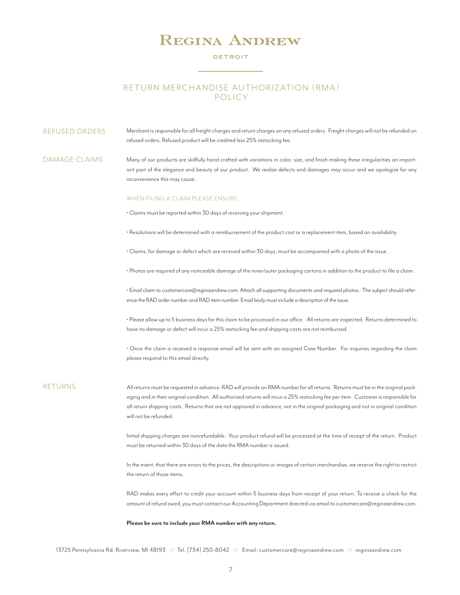#### DETROIT

## RETURN MERCHANDISE AUTHORIZATION (RMA) POLICY

Merchant is responsible for all freight charges and return charges on any refused orders. Freight charges will not be refunded on refused orders. Refused product will be credited less 25% restocking fee. REFUSED ORDERS

Many of our products are skillfully hand crafted with variations in color, size, and finish making these irregularities an important part of the elegance and beauty of our product. We realize defects and damages may occur and we apologize for any inconvenience this may cause. DAMAGE CLAIMS

#### WHEN FILING A CLAIM PLEASE ENSURE:

• Claims must be reported within 30 days of receiving your shipment.

• Resolutions will be determined with a reimbursement of the product cost or a replacement item, based on availability.

• Claims, for damage or defect which are received within 30 days, must be accompanied with a photo of the issue.

• Photos are required of any noticeable damage of the inner/outer packaging cartons in addition to the product to file a claim.

• Email claim to customercare@reginaandrew.com. Attach all supporting documents and required photos. The subject should reference the RAD order number and RAD item number. Email body must include a description of the issue.

• Please allow up to 5 business days for this claim to be processed in our office. All returns are inspected. Returns determined to have no damage or defect will incur a 25% restocking fee and shipping costs are not reimbursed.

• Once the claim is received a response email will be sent with an assigned Case Number. For inquiries regarding the claim please respond to this email directly.

### RETURNS

All returns must be requested in advance. RAD will provide an RMA number for all returns. Returns must be in the original packaging and in their original condition. All authorized returns will incur a 25% restocking fee per item. Customer is responsible for all return shipping costs. Returns that are not approved in advance, not in the original packaging and not in original condition will not be refunded.

Initial shipping charges are nonrefundable. Your product refund will be processed at the time of receipt of the return. Product must be returned within 30 days of the date the RMA number is issued.

In the event, that there are errors to the prices, the descriptions or images of certain merchandise, we reserve the right to restrict the return of those items.

RAD makes every effort to credit your account within 5 business days from receipt of your return. To receive a check for the amount of refund owed, you must contact our Accounting Department directed via email to customercare@reginaandrew.com.

#### **Please be sure to include your RMA number with any return.**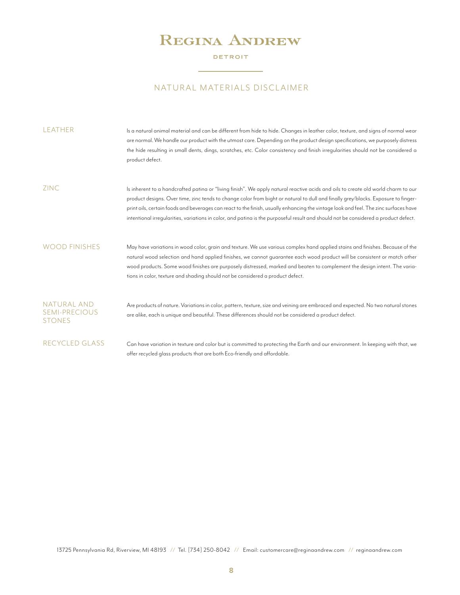### DETROIT

## NATURAL MATERIALS DISCLAIMER

 $\overline{\phantom{a}}$ 

| LEATHER                                              | Is a natural animal material and can be different from hide to hide. Changes in leather color, texture, and signs of normal wear<br>are normal. We handle our product with the utmost care. Depending on the product design specifications, we purposely distress<br>the hide resulting in small dents, dings, scratches, etc. Color consistency and finish irregularities should not be considered a<br>product defect.                                                                                                                              |
|------------------------------------------------------|-------------------------------------------------------------------------------------------------------------------------------------------------------------------------------------------------------------------------------------------------------------------------------------------------------------------------------------------------------------------------------------------------------------------------------------------------------------------------------------------------------------------------------------------------------|
| <b>ZINC</b>                                          | Is inherent to a handcrafted patina or "living finish". We apply natural reactive acids and oils to create old world charm to our<br>product designs. Over time, zinc tends to change color from bight or natural to dull and finally grey/blacks. Exposure to finger-<br>print oils, certain foods and beverages can react to the finish, usually enhancing the vintage look and feel. The zinc surfaces have<br>intentional irregularities, variations in color, and patina is the purposeful result and should not be considered a product defect. |
| <b>WOOD FINISHES</b>                                 | May have variations in wood color, grain and texture. We use various complex hand applied stains and finishes. Because of the<br>natural wood selection and hand applied finishes, we cannot quarantee each wood product will be consistent or match other<br>wood products. Some wood finishes are purposely distressed, marked and beaten to complement the design intent. The varia-<br>tions in color, texture and shading should not be considered a product defect.                                                                             |
| NATURAL AND<br><b>SEMI-PRECIOUS</b><br><b>STONES</b> | Are products of nature. Variations in color, pattern, texture, size and veining are embraced and expected. No two natural stones<br>are alike, each is unique and beautiful. These differences should not be considered a product defect.                                                                                                                                                                                                                                                                                                             |
| <b>RECYCLED GLASS</b>                                | Can have variation in texture and color but is committed to protecting the Earth and our environment. In keeping with that, we<br>offer recycled glass products that are both Eco-friendly and affordable.                                                                                                                                                                                                                                                                                                                                            |